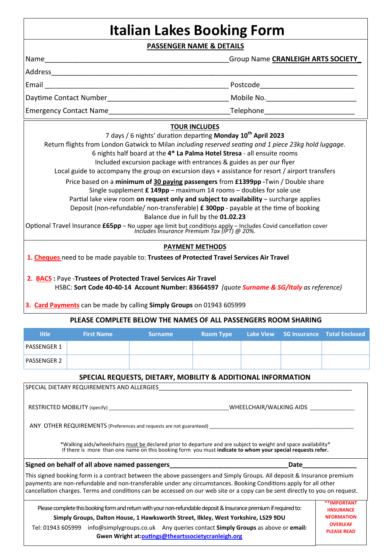# **Italian Lakes Booking Form**

**PASSENGER NAME & DETAILS** 

|                                                                                                                                                                                                                                                                                                                                                                                                                                         | Group Name CRANLEIGH ARTS SOCIETY |  |  |
|-----------------------------------------------------------------------------------------------------------------------------------------------------------------------------------------------------------------------------------------------------------------------------------------------------------------------------------------------------------------------------------------------------------------------------------------|-----------------------------------|--|--|
|                                                                                                                                                                                                                                                                                                                                                                                                                                         |                                   |  |  |
|                                                                                                                                                                                                                                                                                                                                                                                                                                         |                                   |  |  |
|                                                                                                                                                                                                                                                                                                                                                                                                                                         |                                   |  |  |
|                                                                                                                                                                                                                                                                                                                                                                                                                                         |                                   |  |  |
| <b>TOUR INCLUDES</b>                                                                                                                                                                                                                                                                                                                                                                                                                    |                                   |  |  |
| 7 days / 6 nights' duration departing Monday 10 <sup>th</sup> April 2023<br>Return flights from London Gatwick to Milan including reserved seating and 1 piece 23kg hold luggage.<br>6 nights half board at the 4* La Palma Hotel Stresa - all ensuite rooms<br>Included excursion package with entrances & guides as per our flyer<br>Local guide to accompany the group on excursion days + assistance for resort / airport transfers |                                   |  |  |
| Price based on a minimum of 30 paying passengers from £1399pp -Twin / Double share<br>Single supplement $\pmb{\epsilon}$ 149pp – maximum 14 rooms – doubles for sole use<br>Partial lake view room on request only and subject to availability - surcharge applies<br>Deposit (non-refundable/ non-transferable) £ 300pp - payable at the time of booking                                                                               |                                   |  |  |
| Balance due in full by the 01.02.23                                                                                                                                                                                                                                                                                                                                                                                                     |                                   |  |  |
| Optional Travel Insurance £65pp - No upper age limit but conditions apply - Includes Covid cancellation cover<br>Includes Insurance Premium Tax (IPT) @ 20%.                                                                                                                                                                                                                                                                            |                                   |  |  |
| <b>PAYMENT METHODS</b>                                                                                                                                                                                                                                                                                                                                                                                                                  |                                   |  |  |
| 1. Cheques need to be made payable to: Trustees of Protected Travel Services Air Travel                                                                                                                                                                                                                                                                                                                                                 |                                   |  |  |

 **2. BACS :** Paye -**Trustees of Protected Travel Services Air Travel** HSBC: **Sort Code 40-40-14 Account Number: 83664597** *(quote Surname & SG/Italy as reference)* 

**3. Card Payments** can be made by calling **Simply Groups** on 01943 605999

#### **PLEASE COMPLETE BELOW THE NAMES OF ALL PASSENGERS ROOM SHARING**

| <b>litle</b>       | <b>First Name</b> | <b>Surname</b> | <b>Room Type</b> |  | Lake View SG Insurance Total Enclosed |
|--------------------|-------------------|----------------|------------------|--|---------------------------------------|
| <b>PASSENGER 1</b> |                   |                |                  |  |                                       |
| <b>PASSENGER 2</b> |                   |                |                  |  |                                       |

## **SPECIAL REQUESTS, DIETARY, MOBILITY & ADDITIONAL INFORMATION**

| SPECIAL DIETARY REQUIREMENTS AND ALLERGIES                                                                                                                                                                                                                                                                                                                                 |                                       |  |  |  |
|----------------------------------------------------------------------------------------------------------------------------------------------------------------------------------------------------------------------------------------------------------------------------------------------------------------------------------------------------------------------------|---------------------------------------|--|--|--|
|                                                                                                                                                                                                                                                                                                                                                                            | WHEELCHAIR/WALKING AIDS               |  |  |  |
|                                                                                                                                                                                                                                                                                                                                                                            |                                       |  |  |  |
| *Walking aids/wheelchairs must be declared prior to departure and are subject to weight and space availability*<br>If there is more than one name on this booking form you must indicate to whom your special requests refer.                                                                                                                                              |                                       |  |  |  |
| Signed on behalf of all above named passengers <b>Signed on behalf of all above names</b><br>Date                                                                                                                                                                                                                                                                          |                                       |  |  |  |
| This signed booking form is a contract between the above passengers and Simply Groups. All deposit & Insurance premium<br>payments are non-refundable and non-transferable under any circumstances. Booking Conditions apply for all other<br>cancellation charges. Terms and conditions can be accessed on our web site or a copy can be sent directly to you on request. |                                       |  |  |  |
| Please complete this booking form and return with your non-refundable deposit & Insurance premium if required to:                                                                                                                                                                                                                                                          | **IMPORTANT<br><b>IINSURANCE</b>      |  |  |  |
| Simply Groups, Dalton House, 1 Hawksworth Street, Ilkley, West Yorkshire, LS29 9DU                                                                                                                                                                                                                                                                                         | <b>NFORMATION</b>                     |  |  |  |
| Tel: 01943 605999 info@simplygroups.co.uk Any queries contact <b>Simply Groups</b> as above or <b>email:</b><br>Gwen Wright at:outings@theartssocietycranleigh.org                                                                                                                                                                                                         | <b>OVERLEAF</b><br><b>PLEASE READ</b> |  |  |  |